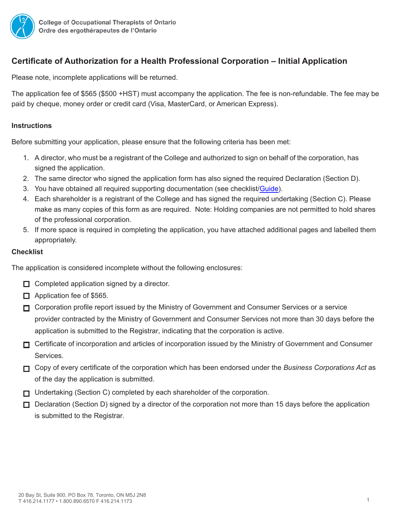

# **Certificate of Authorization for a Health Professional Corporation – Initial Application**

Please note, incomplete applications will be returned.

The application fee of \$565 (\$500 +HST) must accompany the application. The fee is non-refundable. The fee may be paid by cheque, money order or credit card (Visa, MasterCard, or American Express).

## **Instructions**

Before submitting your application, please ensure that the following criteria has been met:

- 1. A director, who must be a registrant of the College and authorized to sign on behalf of the corporation, has signed the application.
- 2. The same director who signed the application form has also signed the required Declaration (Section D).
- 3. You have obtained all required supporting documentation (see checklist/[Guide](https://www.coto.org/docs/default-source/default-document-library/professional-corporations-application-guide-july-2016.pdf?sfvrsn=2)).
- 4. Each shareholder is a registrant of the College and has signed the required undertaking (Section C). Please make as many copies of this form as are required. Note: Holding companies are not permitted to hold shares of the professional corporation.
- 5. If more space is required in completing the application, you have attached additional pages and labelled them appropriately.

### **Checklist**

The application is considered incomplete without the following enclosures:

- $\Box$  Completed application signed by a director.
- $\Box$  Application fee of \$565.
- □ Corporation profile report issued by the Ministry of Government and Consumer Services or a service provider contracted by the Ministry of Government and Consumer Services not more than 30 days before the application is submitted to the Registrar, indicating that the corporation is active.
- $\Box$  Certificate of incorporation and articles of incorporation issued by the Ministry of Government and Consumer Services.
- Copy of every certificate of the corporation which has been endorsed under the *Business Corporations Act* as of the day the application is submitted.
- $\Box$  Undertaking (Section C) completed by each shareholder of the corporation.
- $\Box$  Declaration (Section D) signed by a director of the corporation not more than 15 days before the application is submitted to the Registrar.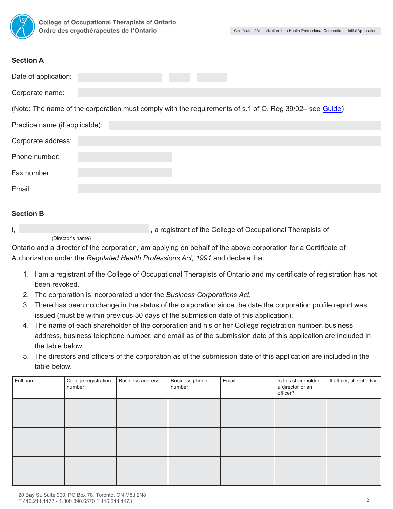

#### **Section A**

| Date of application:                                                                                                                                                                                                                                                                                                                                                                                                                                                                                                                                                                                                                                                                                                                                                                                                                                                                                                                                                                                                                                                                                              |                                |                         |                          |                                                                                                         |                                                     |                             |
|-------------------------------------------------------------------------------------------------------------------------------------------------------------------------------------------------------------------------------------------------------------------------------------------------------------------------------------------------------------------------------------------------------------------------------------------------------------------------------------------------------------------------------------------------------------------------------------------------------------------------------------------------------------------------------------------------------------------------------------------------------------------------------------------------------------------------------------------------------------------------------------------------------------------------------------------------------------------------------------------------------------------------------------------------------------------------------------------------------------------|--------------------------------|-------------------------|--------------------------|---------------------------------------------------------------------------------------------------------|-----------------------------------------------------|-----------------------------|
| Corporate name:                                                                                                                                                                                                                                                                                                                                                                                                                                                                                                                                                                                                                                                                                                                                                                                                                                                                                                                                                                                                                                                                                                   |                                |                         |                          |                                                                                                         |                                                     |                             |
|                                                                                                                                                                                                                                                                                                                                                                                                                                                                                                                                                                                                                                                                                                                                                                                                                                                                                                                                                                                                                                                                                                                   |                                |                         |                          | (Note: The name of the corporation must comply with the requirements of s.1 of O. Reg 39/02– see Guide) |                                                     |                             |
| Practice name (if applicable):                                                                                                                                                                                                                                                                                                                                                                                                                                                                                                                                                                                                                                                                                                                                                                                                                                                                                                                                                                                                                                                                                    |                                |                         |                          |                                                                                                         |                                                     |                             |
| Corporate address:                                                                                                                                                                                                                                                                                                                                                                                                                                                                                                                                                                                                                                                                                                                                                                                                                                                                                                                                                                                                                                                                                                |                                |                         |                          |                                                                                                         |                                                     |                             |
| Phone number:                                                                                                                                                                                                                                                                                                                                                                                                                                                                                                                                                                                                                                                                                                                                                                                                                                                                                                                                                                                                                                                                                                     |                                |                         |                          |                                                                                                         |                                                     |                             |
| Fax number:                                                                                                                                                                                                                                                                                                                                                                                                                                                                                                                                                                                                                                                                                                                                                                                                                                                                                                                                                                                                                                                                                                       |                                |                         |                          |                                                                                                         |                                                     |                             |
| Email:                                                                                                                                                                                                                                                                                                                                                                                                                                                                                                                                                                                                                                                                                                                                                                                                                                                                                                                                                                                                                                                                                                            |                                |                         |                          |                                                                                                         |                                                     |                             |
|                                                                                                                                                                                                                                                                                                                                                                                                                                                                                                                                                                                                                                                                                                                                                                                                                                                                                                                                                                                                                                                                                                                   |                                |                         |                          |                                                                                                         |                                                     |                             |
| <b>Section B</b>                                                                                                                                                                                                                                                                                                                                                                                                                                                                                                                                                                                                                                                                                                                                                                                                                                                                                                                                                                                                                                                                                                  |                                |                         |                          |                                                                                                         |                                                     |                             |
| , a registrant of the College of Occupational Therapists of<br>I,<br>(Director's name)<br>Ontario and a director of the corporation, am applying on behalf of the above corporation for a Certificate of<br>Authorization under the Regulated Health Professions Act, 1991 and declare that:<br>1. I am a registrant of the College of Occupational Therapists of Ontario and my certificate of registration has not<br>been revoked.<br>The corporation is incorporated under the Business Corporations Act.<br>2.<br>There has been no change in the status of the corporation since the date the corporation profile report was<br>3.<br>issued (must be within previous 30 days of the submission date of this application).<br>4. The name of each shareholder of the corporation and his or her College registration number, business<br>address, business telephone number, and email as of the submission date of this application are included in<br>the table below.<br>The directors and officers of the corporation as of the submission date of this application are included in the<br>table below. |                                |                         |                          |                                                                                                         |                                                     |                             |
| Full name                                                                                                                                                                                                                                                                                                                                                                                                                                                                                                                                                                                                                                                                                                                                                                                                                                                                                                                                                                                                                                                                                                         | College registration<br>number | <b>Business address</b> | Business phone<br>number | Email                                                                                                   | Is this shareholder<br>a director or an<br>officer? | If officer, title of office |
|                                                                                                                                                                                                                                                                                                                                                                                                                                                                                                                                                                                                                                                                                                                                                                                                                                                                                                                                                                                                                                                                                                                   |                                |                         |                          |                                                                                                         |                                                     |                             |
|                                                                                                                                                                                                                                                                                                                                                                                                                                                                                                                                                                                                                                                                                                                                                                                                                                                                                                                                                                                                                                                                                                                   |                                |                         |                          |                                                                                                         |                                                     |                             |
|                                                                                                                                                                                                                                                                                                                                                                                                                                                                                                                                                                                                                                                                                                                                                                                                                                                                                                                                                                                                                                                                                                                   |                                |                         |                          |                                                                                                         |                                                     |                             |

#### **Section B**

- 1. I am a registrant of the College of Occupational Therapists of Ontario and my certificate of registration has not been revoked.
- 2. The corporation is incorporated under the *Business Corporations Act.*
- 3. There has been no change in the status of the corporation since the date the corporation profile report was issued (must be within previous 30 days of the submission date of this application).
- 4. The name of each shareholder of the corporation and his or her College registration number, business address, business telephone number, and email as of the submission date of this application are included in the table below.
- 5. The directors and officers of the corporation as of the submission date of this application are included in the table below.

| Full name | College registration<br>number | <b>Business address</b> | Business phone<br>number | Email | Is this shareholder<br>a director or an<br>officer? | If officer, title of office |
|-----------|--------------------------------|-------------------------|--------------------------|-------|-----------------------------------------------------|-----------------------------|
|           |                                |                         |                          |       |                                                     |                             |
|           |                                |                         |                          |       |                                                     |                             |
|           |                                |                         |                          |       |                                                     |                             |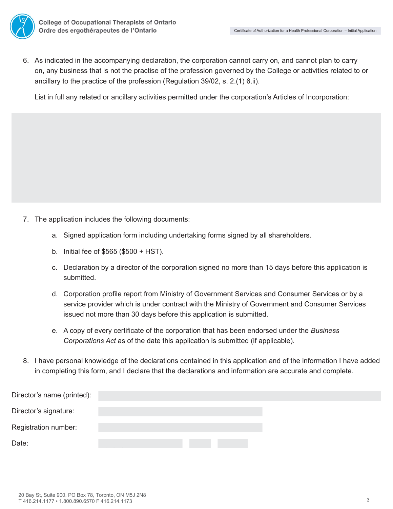6. As indicated in the accompanying declaration, the corporation cannot carry on, and cannot plan to carry on, any business that is not the practise of the profession governed by the College or activities related to or ancillary to the practice of the profession (Regulation 39/02, s. 2.(1) 6.ii).

List in full any related or ancillary activities permitted under the corporation's Articles of Incorporation:

- 7. The application includes the following documents:
	- a. Signed application form including undertaking forms signed by all shareholders.
	- b. Initial fee of \$565 (\$500 + HST).
	- c. Declaration by a director of the corporation signed no more than 15 days before this application is submitted.
	- d. Corporation profile report from Ministry of Government Services and Consumer Services or by a service provider which is under contract with the Ministry of Government and Consumer Services issued not more than 30 days before this application is submitted.
	- e. A copy of every certificate of the corporation that has been endorsed under the *Business Corporations Act* as of the date this application is submitted (if applicable).
- 8. I have personal knowledge of the declarations contained in this application and of the information I have added in completing this form, and I declare that the declarations and information are accurate and complete.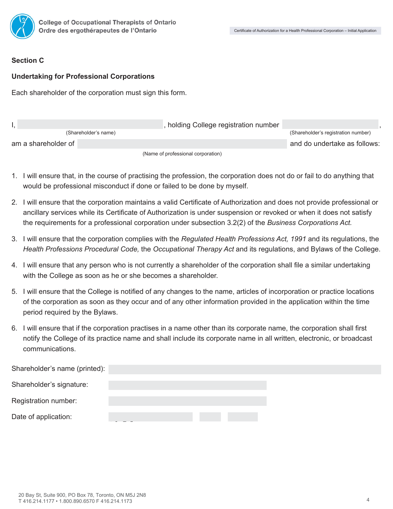

#### **Section C**

#### **Undertaking for Professional Corporations**

Each shareholder of the corporation must sign this form.

|                     |                      | , holding College registration number |                                     |
|---------------------|----------------------|---------------------------------------|-------------------------------------|
|                     | (Shareholder's name) |                                       | (Shareholder's registration number) |
| am a shareholder of |                      |                                       | and do undertake as follows:        |
|                     |                      | (Name of professional corporation)    |                                     |

- 1. I will ensure that, in the course of practising the profession, the corporation does not do or fail to do anything that would be professional misconduct if done or failed to be done by myself.
- 2. I will ensure that the corporation maintains a valid Certificate of Authorization and does not provide professional or ancillary services while its Certificate of Authorization is under suspension or revoked or when it does not satisfy the requirements for a professional corporation under subsection 3.2(2) of the *Business Corporations Act.*
- 3. I will ensure that the corporation complies with the *Regulated Health Professions Act, 1991* and its regulations, the *Health Professions Procedural Code,* the *Occupational Therapy Act* and its regulations, and Bylaws of the College.
- 4. I will ensure that any person who is not currently a shareholder of the corporation shall file a similar undertaking with the College as soon as he or she becomes a shareholder.
- 5. I will ensure that the College is notified of any changes to the name, articles of incorporation or practice locations of the corporation as soon as they occur and of any other information provided in the application within the time period required by the Bylaws.
- 6. I will ensure that if the corporation practises in a name other than its corporate name, the corporation shall first notify the College of its practice name and shall include its corporate name in all written, electronic, or broadcast communications.

| Shareholder's name (printed): |  |  |
|-------------------------------|--|--|
| Shareholder's signature:      |  |  |
| Registration number:          |  |  |
| Date of application:          |  |  |
|                               |  |  |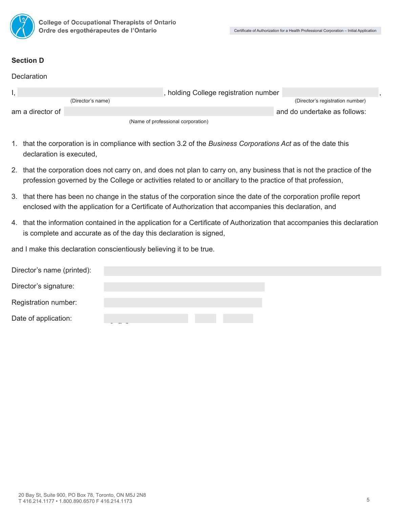

#### **Section D**

| Declaration      |                   |                                       |                                  |  |
|------------------|-------------------|---------------------------------------|----------------------------------|--|
|                  |                   | , holding College registration number |                                  |  |
|                  | (Director's name) |                                       | (Director's registration number) |  |
| am a director of |                   |                                       | and do undertake as follows:     |  |
|                  |                   | (Name of professional corporation)    |                                  |  |

- 1. that the corporation is in compliance with section 3.2 of the *Business Corporations Act* as of the date this declaration is executed,
- 2. that the corporation does not carry on, and does not plan to carry on, any business that is not the practice of the profession governed by the College or activities related to or ancillary to the practice of that profession,
- 3. that there has been no change in the status of the corporation since the date of the corporation profile report enclosed with the application for a Certificate of Authorization that accompanies this declaration, and
- 4. that the information contained in the application for a Certificate of Authorization that accompanies this declaration is complete and accurate as of the day this declaration is signed,

and I make this declaration conscientiously believing it to be true.

| Director's name (printed): |  |  |
|----------------------------|--|--|
| Director's signature:      |  |  |
| Registration number:       |  |  |
| Date of application:       |  |  |